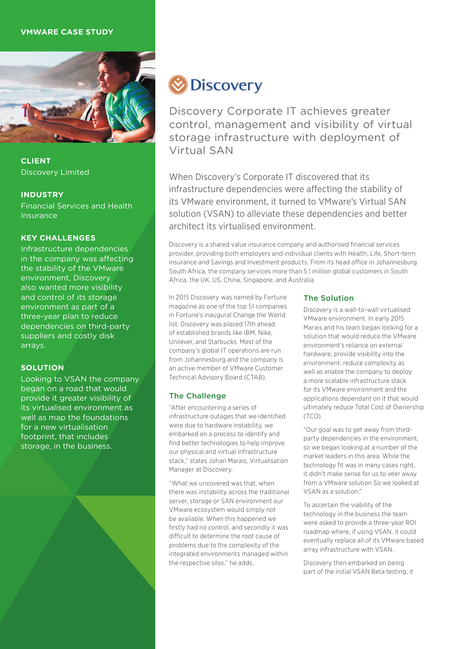# **VMWARE CASE STUDY**



**CLIENT** Discovery Limited

#### **INDUSTRY**

Financial Services and Health Insurance

# **KEY CHALLENGES**

Infrastructure dependencies in the company was affecting the stability of the VMware environment, Discovery also wanted more visibility and control of its storage environment as part of a three-year plan to reduce dependencies on third-party suppliers and costly disk arrays.

# **SOLUTION**

Looking to VSAN the company began on a road that would provide it greater visibility of its virtualised environment as well as map the foundations for a new virtualisation footprint, that includes storage, in the business.



Discovery Corporate IT achieves greater control, management and visibility of virtual storage infrastructure with deployment of Virtual SAN

When Discovery's Corporate IT discovered that its infrastructure dependencies were affecting the stability of its VMware environment, it turned to VMware's Virtual SAN solution (VSAN) to alleviate these dependencies and better architect its virtualised environment.

Discovery is a shared value insurance company and authorised financial services provider, providing both employers and individual clients with Health, Life, Short-term insurance and Savings and Investment products. From its head office in Johannesburg South Africa, the company services more than 5.1 million global customers in South Africa, the UK, US, China, Singapore, and Australia.

In 2015 Discovery was named by Fortune magazine as one of the top 51 companies in Fortune's inaugural Change the World list, Discovery was placed 17th ahead of established brands like IBM, Nike, Unilever, and Starbucks. Most of the company's global IT operations are run from Johannesburg and the company is an active member of VMware Customer Technical Advisory Board (CTAB).

# The Challenge

"After encountering a series of infrastructure outages that we identified were due to hardware instability, we embarked on a process to identify and find better technologies to help improve our physical and virtual infrastructure stack," states Johan Marais, Virtualisation Manager at Discovery.

"What we uncovered was that, when there was instability across the traditional server, storage or SAN environment our VMware ecosystem would simply not be available. When this happened we firstly had no control, and secondly it was difficult to determine the root cause of problems due to the complexity of the integrated environments managed within the respective silos," he adds.

#### The Solution

Discovery is a wall-to-wall virtualised VMware environment. In early 2015 Marais and his team began looking for a solution that would reduce the VMware environment's reliance on external hardware; provide visibility into the environment; reduce complexity as well as enable the company to deploy a more scalable infrastructure stack for its VMware environment and the applications dependant on it that would ultimately reduce Total Cost of Ownership (TCO).

"Our goal was to get away from thirdparty dependencies in the environment, so we began looking at a number of the market leaders in this area. While the technology fit was in many cases right, it didn't make sense for us to veer away from a VMware solution So we looked at VSAN as a solution."

To ascertain the viability of the technology in the business the team were asked to provide a three-year ROI roadmap where, if using VSAN, it could eventually replace all of its VMware based array infrastructure with VSAN.

Discovery then embarked on being part of the initial VSAN Beta testing, it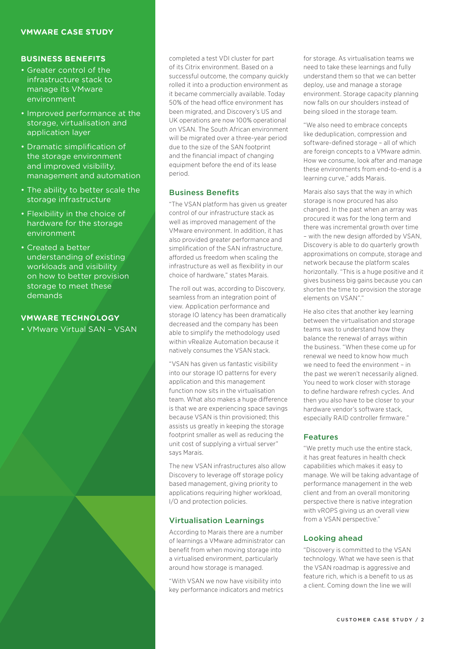## **VMWARE CASE STUDY**

#### **BUSINESS BENEFITS**

- Greater control of the infrastructure stack to manage its VMware environment
- Improved performance at the storage, virtualisation and application layer
- Dramatic simplification of the storage environment and improved visibility, management and automation
- The ability to better scale the storage infrastructure
- Flexibility in the choice of hardware for the storage environment
- Created a better understanding of existing workloads and visibility on how to better provision storage to meet these demands

## **VMWARE TECHNOLOGY**

• VMware Virtual SAN – VSAN

completed a test VDI cluster for part of its Citrix environment. Based on a successful outcome, the company quickly rolled it into a production environment as it became commercially available. Today 50% of the head office environment has been migrated, and Discovery's US and UK operations are now 100% operational on VSAN. The South African environment will be migrated over a three-year period due to the size of the SAN footprint and the financial impact of changing equipment before the end of its lease period.

#### **Business Benefits**

"The VSAN platform has given us greater control of our infrastructure stack as well as improved management of the VMware environment. In addition, it has also provided greater performance and simplification of the SAN infrastructure, afforded us freedom when scaling the infrastructure as well as flexibility in our choice of hardware," states Marais.

The roll out was, according to Discovery seamless from an integration point of view. Application performance and storage IO latency has been dramatically decreased and the company has been able to simplify the methodology used within vRealize Automation because it natively consumes the VSAN stack.

"VSAN has given us fantastic visibility into our storage IO patterns for every application and this management function now sits in the virtualisation team. What also makes a huge difference is that we are experiencing space savings because VSAN is thin provisioned; this assists us greatly in keeping the storage footprint smaller as well as reducing the unit cost of supplying a virtual server" says Marais.

The new VSAN infrastructures also allow Discovery to leverage off storage policy based management, giving priority to applications requiring higher workload, I/O and protection policies.

#### Virtualisation Learnings

According to Marais there are a number of learnings a VMware administrator can benefit from when moving storage into a virtualised environment, particularly around how storage is managed.

"With VSAN we now have visibility into key performance indicators and metrics

for storage. As virtualisation teams we need to take these learnings and fully understand them so that we can better deploy, use and manage a storage environment. Storage capacity planning now falls on our shoulders instead of being siloed in the storage team.

"We also need to embrace concepts like deduplication, compression and software-defined storage - all of which are foreign concepts to a VMware admin. How we consume, look after and manage these environments from end-to-end is a learning curve," adds Marais.

Marais also says that the way in which storage is now procured has also changed. In the past when an array was procured it was for the long term and there was incremental growth over time – with the new design afforded by VSAN, Discovery is able to do quarterly growth approximations on compute, storage and network because the platform scales horizontally. "This is a huge positive and it gives business big gains because you can shorten the time to provision the storage elements on VSAN"."

He also cites that another key learning between the virtualisation and storage teams was to understand how they balance the renewal of arrays within the business. "When these come up for renewal we need to know how much we need to feed the environment – in the past we weren't necessarily aligned. You need to work closer with storage to define hardware refresh cycles. And then you also have to be closer to your hardware vendor's software stack, especially RAID controller firmware."

#### Features

"We pretty much use the entire stack, it has great features in health check capabilities which makes it easy to manage. We will be taking advantage of performance management in the web client and from an overall monitoring perspective there is native integration with vROPS giving us an overall view from a VSAN perspective."

#### Looking ahead

"Discovery is committed to the VSAN technology. What we have seen is that the VSAN roadmap is aggressive and feature rich, which is a benefit to us as a client. Coming down the line we will